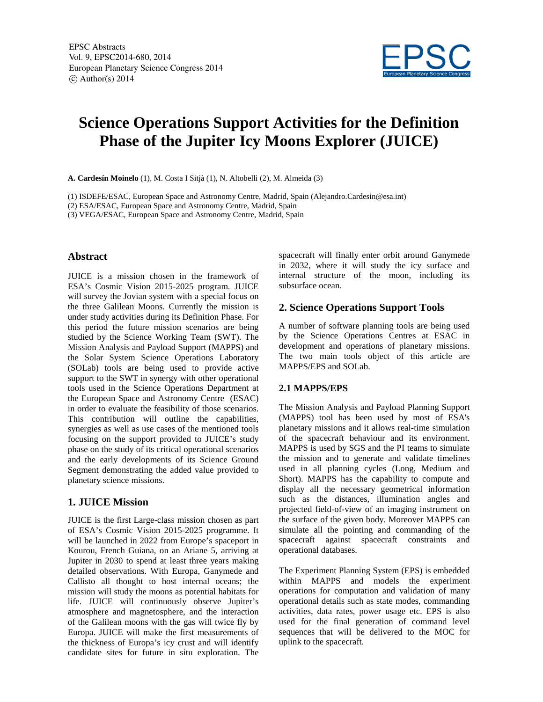

# **Science Operations Support Activities for the Definition Phase of the Jupiter Icy Moons Explorer (JUICE)**

**A. Cardesín Moinelo** (1), M. Costa I Sitjà (1), N. Altobelli (2), M. Almeida (3)

(1) ISDEFE/ESAC, European Space and Astronomy Centre, Madrid, Spain (Alejandro.Cardesin@esa.int)

(2) ESA/ESAC, European Space and Astronomy Centre, Madrid, Spain

(3) VEGA/ESAC, European Space and Astronomy Centre, Madrid, Spain

#### **Abstract**

JUICE is a mission chosen in the framework of ESA's Cosmic Vision 2015-2025 program. JUICE will survey the Jovian system with a special focus on the three Galilean Moons. Currently the mission is under study activities during its Definition Phase. For this period the future mission scenarios are being studied by the Science Working Team (SWT). The Mission Analysis and Payload Support (MAPPS) and the Solar System Science Operations Laboratory (SOLab) tools are being used to provide active support to the SWT in synergy with other operational tools used in the Science Operations Department at the European Space and Astronomy Centre (ESAC) in order to evaluate the feasibility of those scenarios. This contribution will outline the capabilities, synergies as well as use cases of the mentioned tools focusing on the support provided to JUICE's study phase on the study of its critical operational scenarios and the early developments of its Science Ground Segment demonstrating the added value provided to planetary science missions.

## **1. JUICE Mission**

JUICE is the first Large-class mission chosen as part of ESA's Cosmic Vision 2015-2025 programme. It will be launched in 2022 from Europe's spaceport in Kourou, French Guiana, on an Ariane 5, arriving at Jupiter in 2030 to spend at least three years making detailed observations. With Europa, Ganymede and Callisto all thought to host internal oceans; the mission will study the moons as potential habitats for life. JUICE will continuously observe Jupiter's atmosphere and magnetosphere, and the interaction of the Galilean moons with the gas will twice fly by Europa. JUICE will make the first measurements of the thickness of Europa's icy crust and will identify candidate sites for future in situ exploration. The

spacecraft will finally enter orbit around Ganymede in 2032, where it will study the icy surface and internal structure of the moon, including its subsurface ocean.

## **2. Science Operations Support Tools**

A number of software planning tools are being used by the Science Operations Centres at ESAC in development and operations of planetary missions. The two main tools object of this article are MAPPS/EPS and SOLab.

#### **2.1 MAPPS/EPS**

The Mission Analysis and Payload Planning Support (MAPPS) tool has been used by most of ESA's planetary missions and it allows real-time simulation of the spacecraft behaviour and its environment. MAPPS is used by SGS and the PI teams to simulate the mission and to generate and validate timelines used in all planning cycles (Long, Medium and Short). MAPPS has the capability to compute and display all the necessary geometrical information such as the distances, illumination angles and projected field-of-view of an imaging instrument on the surface of the given body. Moreover MAPPS can simulate all the pointing and commanding of the spacecraft against spacecraft constraints and operational databases.

The Experiment Planning System (EPS) is embedded within MAPPS and models the experiment operations for computation and validation of many operational details such as state modes, commanding activities, data rates, power usage etc. EPS is also used for the final generation of command level sequences that will be delivered to the MOC for uplink to the spacecraft.